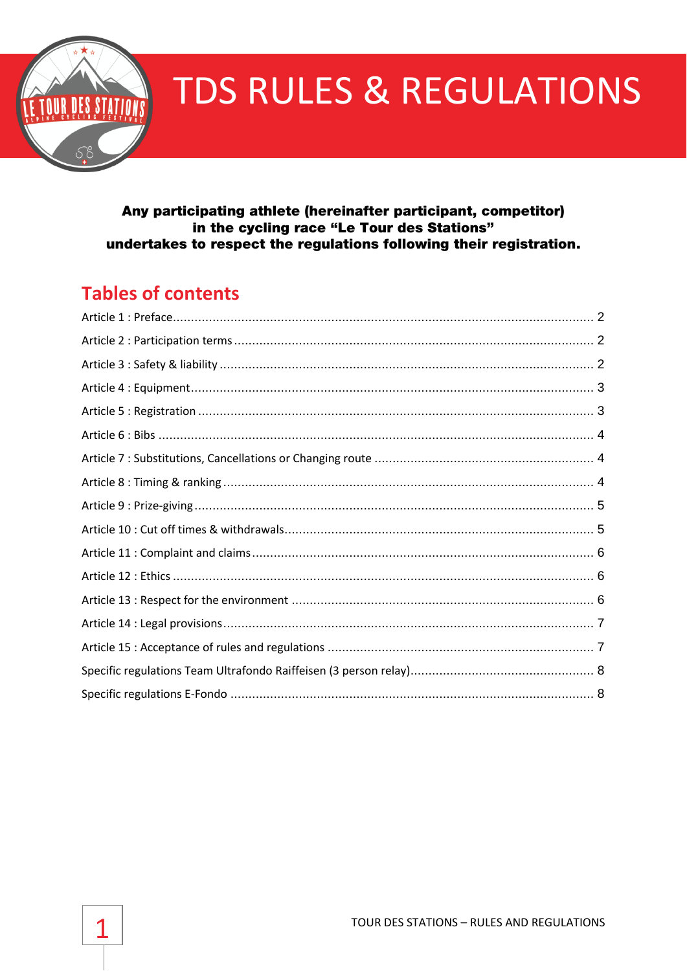

# **TDS RULES & REGULATIONS**

#### Any participating athlete (hereinafter participant, competitor) in the cycling race "Le Tour des Stations" undertakes to respect the regulations following their registration.

## **Tables of contents**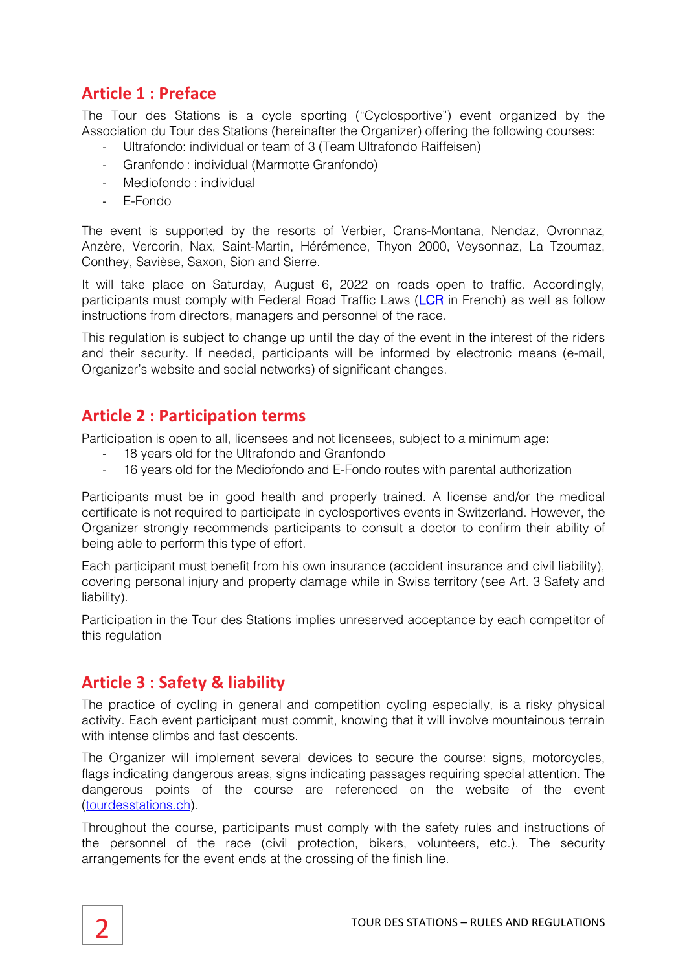## <span id="page-1-0"></span>**Article 1 : Preface**

The Tour des Stations is a cycle sporting ("Cyclosportive") event organized by the Association du Tour des Stations (hereinafter the Organizer) offering the following courses:

- Ultrafondo: individual or team of 3 (Team Ultrafondo Raiffeisen)
- Granfondo : individual (Marmotte Granfondo)
- Mediofondo : individual
- E-Fondo

The event is supported by the resorts of Verbier, Crans-Montana, Nendaz, Ovronnaz, Anzère, Vercorin, Nax, Saint-Martin, Hérémence, Thyon 2000, Veysonnaz, La Tzoumaz, Conthey, Savièse, Saxon, Sion and Sierre.

It will take place on Saturday, August 6, 2022 on roads open to traffic. Accordingly, participants must comply with Federal Road Traffic Laws [\(LCR](https://www.admin.ch/opc/fr/classified-compilation/19580266/201801010000/741.01.pdf) in French) as well as follow instructions from directors, managers and personnel of the race.

This regulation is subject to change up until the day of the event in the interest of the riders and their security. If needed, participants will be informed by electronic means (e-mail, Organizer's website and social networks) of significant changes.

#### <span id="page-1-1"></span>**Article 2 : Participation terms**

Participation is open to all, licensees and not licensees, subject to a minimum age:

- 18 years old for the Ultrafondo and Granfondo
- 16 years old for the Mediofondo and E-Fondo routes with parental authorization

Participants must be in good health and properly trained. A license and/or the medical certificate is not required to participate in cyclosportives events in Switzerland. However, the Organizer strongly recommends participants to consult a doctor to confirm their ability of being able to perform this type of effort.

Each participant must benefit from his own insurance (accident insurance and civil liability), covering personal injury and property damage while in Swiss territory (see Art. 3 Safety and liability).

Participation in the Tour des Stations implies unreserved acceptance by each competitor of this regulation

## <span id="page-1-2"></span>**Article 3 : Safety & liability**

The practice of cycling in general and competition cycling especially, is a risky physical activity. Each event participant must commit, knowing that it will involve mountainous terrain with intense climbs and fast descents.

The Organizer will implement several devices to secure the course: signs, motorcycles, flags indicating dangerous areas, signs indicating passages requiring special attention. The dangerous points of the course are referenced on the website of the event [\(tourdesstations.ch\)](https://www.google.com/maps/d/viewer?mid=1h21_xQvLARvwow0ppaqTm0Q0Wbc&ll=46.21869213210998%2C7.325635640881956&z=10).

Throughout the course, participants must comply with the safety rules and instructions of the personnel of the race (civil protection, bikers, volunteers, etc.). The security arrangements for the event ends at the crossing of the finish line.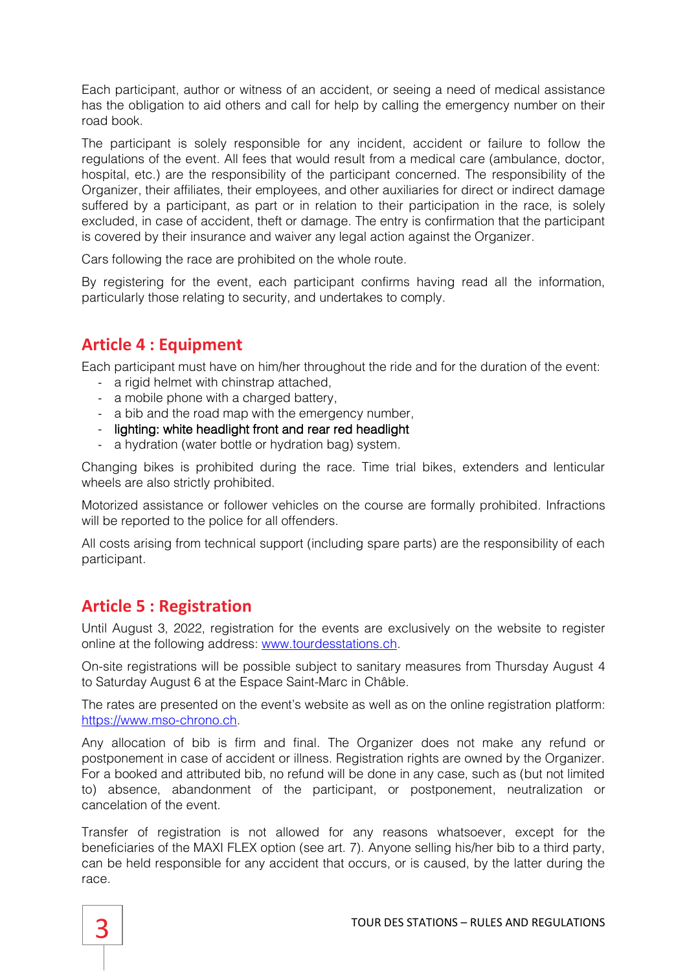Each participant, author or witness of an accident, or seeing a need of medical assistance has the obligation to aid others and call for help by calling the emergency number on their road book.

The participant is solely responsible for any incident, accident or failure to follow the regulations of the event. All fees that would result from a medical care (ambulance, doctor, hospital, etc.) are the responsibility of the participant concerned. The responsibility of the Organizer, their affiliates, their employees, and other auxiliaries for direct or indirect damage suffered by a participant, as part or in relation to their participation in the race, is solely excluded, in case of accident, theft or damage. The entry is confirmation that the participant is covered by their insurance and waiver any legal action against the Organizer.

Cars following the race are prohibited on the whole route.

By registering for the event, each participant confirms having read all the information, particularly those relating to security, and undertakes to comply.

## <span id="page-2-0"></span>**Article 4 : Equipment**

Each participant must have on him/her throughout the ride and for the duration of the event:

- a rigid helmet with chinstrap attached.
- a mobile phone with a charged battery,
- a bib and the road map with the emergency number,
- lighting: white headlight front and rear red headlight
- a hydration (water bottle or hydration bag) system.

Changing bikes is prohibited during the race. Time trial bikes, extenders and lenticular wheels are also strictly prohibited.

Motorized assistance or follower vehicles on the course are formally prohibited. Infractions will be reported to the police for all offenders.

All costs arising from technical support (including spare parts) are the responsibility of each participant.

## <span id="page-2-1"></span>**Article 5 : Registration**

Until August 3, 2022, registration for the events are exclusively on the website to register online at the following address: [www.tourdesstations.ch.](http://www.tourdesstations.ch/)

On-site registrations will be possible subject to sanitary measures from Thursday August 4 to Saturday August 6 at the Espace Saint-Marc in Châble.

The rates are presented on the event's website as well as on the online registration platform: [https://www.mso-chrono.ch.](https://www.mso-chrono.ch/)

Any allocation of bib is firm and final. The Organizer does not make any refund or postponement in case of accident or illness. Registration rights are owned by the Organizer. For a booked and attributed bib, no refund will be done in any case, such as (but not limited to) absence, abandonment of the participant, or postponement, neutralization or cancelation of the event.

Transfer of registration is not allowed for any reasons whatsoever, except for the beneficiaries of the MAXI FLEX option (see art. 7). Anyone selling his/her bib to a third party, can be held responsible for any accident that occurs, or is caused, by the latter during the race.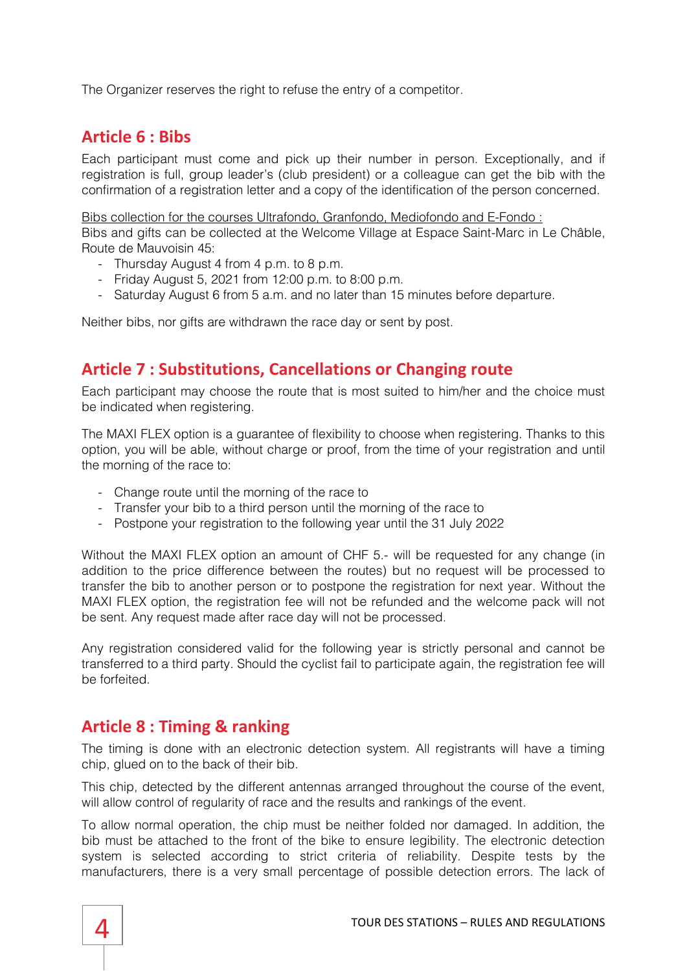<span id="page-3-0"></span>The Organizer reserves the right to refuse the entry of a competitor.

## **Article 6 : Bibs**

Each participant must come and pick up their number in person. Exceptionally, and if registration is full, group leader's (club president) or a colleague can get the bib with the confirmation of a registration letter and a copy of the identification of the person concerned.

Bibs collection for the courses Ultrafondo, Granfondo, Mediofondo and E-Fondo :

Bibs and gifts can be collected at the Welcome Village at Espace Saint-Marc in Le Châble, Route de Mauvoisin 45:

- Thursday August 4 from 4 p.m. to 8 p.m.
- Friday August 5, 2021 from 12:00 p.m. to 8:00 p.m.
- Saturday August 6 from 5 a.m. and no later than 15 minutes before departure.

Neither bibs, nor gifts are withdrawn the race day or sent by post.

## <span id="page-3-1"></span>**Article 7 : Substitutions, Cancellations or Changing route**

Each participant may choose the route that is most suited to him/her and the choice must be indicated when registering.

The MAXI FLEX option is a guarantee of flexibility to choose when registering. Thanks to this option, you will be able, without charge or proof, from the time of your registration and until the morning of the race to:

- Change route until the morning of the race to
- Transfer your bib to a third person until the morning of the race to
- Postpone your registration to the following year until the 31 July 2022

Without the MAXI FLEX option an amount of CHF 5.- will be requested for any change (in addition to the price difference between the routes) but no request will be processed to transfer the bib to another person or to postpone the registration for next year. Without the MAXI FLEX option, the registration fee will not be refunded and the welcome pack will not be sent. Any request made after race day will not be processed.

Any registration considered valid for the following year is strictly personal and cannot be transferred to a third party. Should the cyclist fail to participate again, the registration fee will be forfeited.

#### <span id="page-3-2"></span>**Article 8 : Timing & ranking**

The timing is done with an electronic detection system. All registrants will have a timing chip, glued on to the back of their bib.

This chip, detected by the different antennas arranged throughout the course of the event, will allow control of regularity of race and the results and rankings of the event.

To allow normal operation, the chip must be neither folded nor damaged. In addition, the bib must be attached to the front of the bike to ensure legibility. The electronic detection system is selected according to strict criteria of reliability. Despite tests by the manufacturers, there is a very small percentage of possible detection errors. The lack of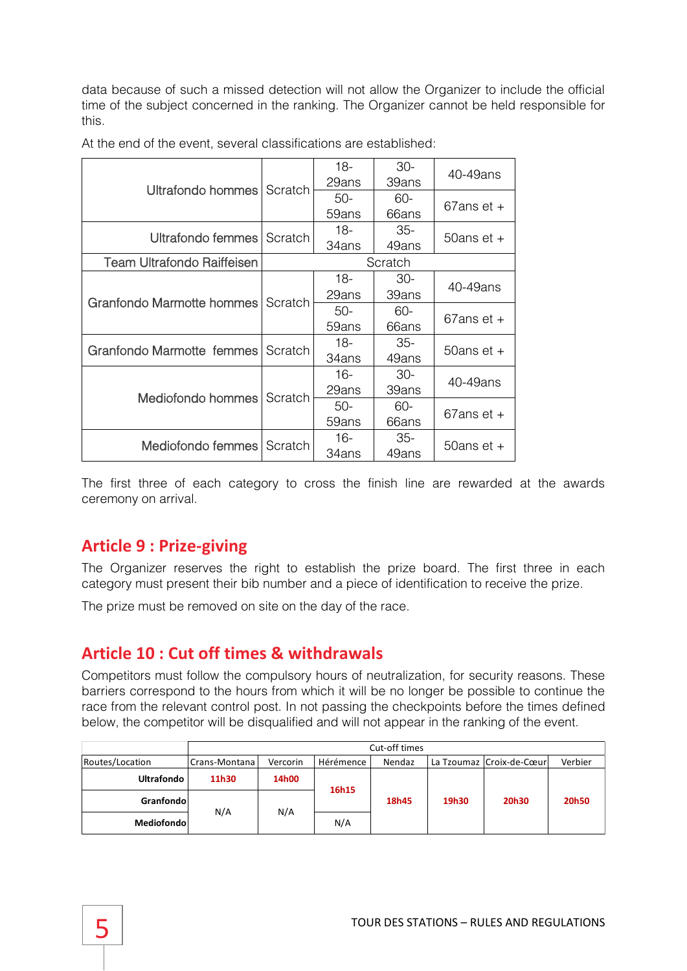data because of such a missed detection will not allow the Organizer to include the official time of the subject concerned in the ranking. The Organizer cannot be held responsible for this.

|                                   |         | $18 -$<br>29ans | $30-$<br>39ans | 40-49ans                  |  |
|-----------------------------------|---------|-----------------|----------------|---------------------------|--|
| Ultrafondo hommes Scratch         |         | $50-$           | 60-            | $67$ ans et +             |  |
|                                   |         | 59ans           | 66ans          |                           |  |
| Ultrafondo femmes Scratch         |         | $18-$           | 35-            | 50ans et $+$              |  |
|                                   |         | 34ans           | 49ans          |                           |  |
| <b>Team Ultrafondo Raiffeisen</b> | Scratch |                 |                |                           |  |
|                                   |         | $18-$           | $30-$          | 40-49ans                  |  |
| Granfondo Marmotte hommes Scratch |         | 29ans           | 39ans          |                           |  |
|                                   |         | $50-$           | 60-            | $67$ ans et +             |  |
|                                   |         | 59ans           | 66ans          |                           |  |
| Granfondo Marmotte femmes Scratch |         | 18-             | 35-            | 50ans $et +$              |  |
|                                   |         | 34ans           | 49ans          |                           |  |
|                                   | Scratch | $16-$           | $30-$          | 40-49ans<br>$67$ ans et + |  |
| Mediofondo hommes                 |         | 29ans           | 39ans          |                           |  |
|                                   |         | $50-$           | 60-            |                           |  |
|                                   |         | 59ans           | 66ans          |                           |  |
|                                   |         | 16-             | $35-$          | 50ans et $+$              |  |
| Mediofondo femmes Scratch         |         | 34ans           | 49ans          |                           |  |

At the end of the event, several classifications are established:

The first three of each category to cross the finish line are rewarded at the awards ceremony on arrival.

## <span id="page-4-0"></span>**Article 9 : Prize-giving**

The Organizer reserves the right to establish the prize board. The first three in each category must present their bib number and a piece of identification to receive the prize.

The prize must be removed on site on the day of the race.

## <span id="page-4-1"></span>**Article 10 : Cut off times & withdrawals**

Competitors must follow the compulsory hours of neutralization, for security reasons. These barriers correspond to the hours from which it will be no longer be possible to continue the race from the relevant control post. In not passing the checkpoints before the times defined below, the competitor will be disqualified and will not appear in the ranking of the event.

|                   | Cut-off times |          |           |        |       |                          |         |  |  |  |
|-------------------|---------------|----------|-----------|--------|-------|--------------------------|---------|--|--|--|
| Routes/Location   | Crans-Montana | Vercorin | Hérémence | Nendaz |       | La Tzoumaz Croix-de-Cœur | Verbier |  |  |  |
| <b>Ultrafondo</b> | 11h30         | 14h00    | 16h15     | 18h45  | 19h30 | 20h30                    | 20h50   |  |  |  |
| Granfondo         |               | N/A      |           |        |       |                          |         |  |  |  |
| Mediofondol       | N/A           |          | N/A       |        |       |                          |         |  |  |  |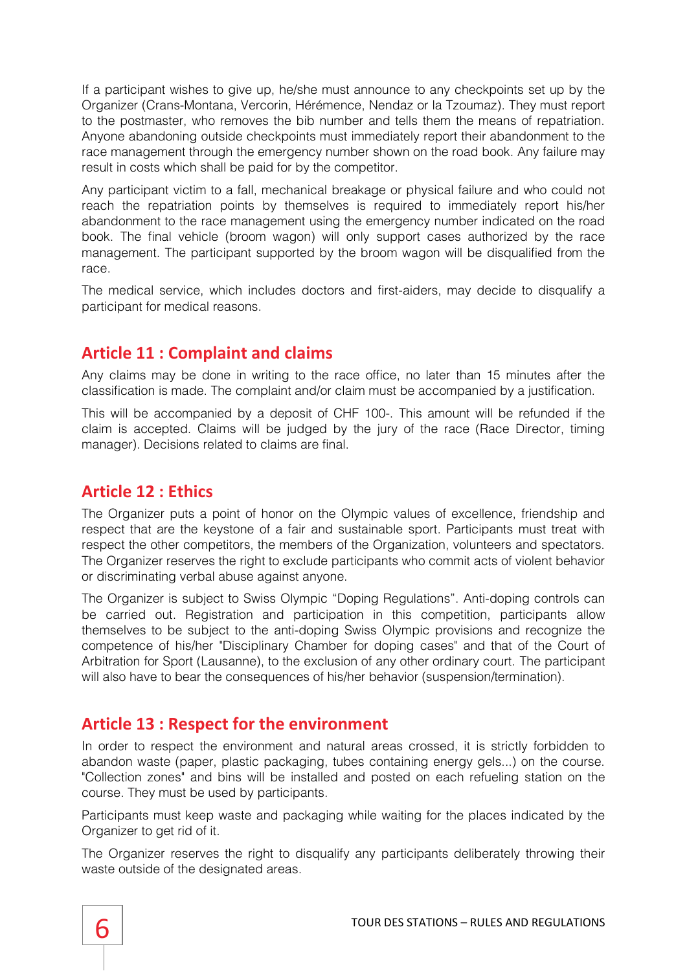If a participant wishes to give up, he/she must announce to any checkpoints set up by the Organizer (Crans-Montana, Vercorin, Hérémence, Nendaz or la Tzoumaz). They must report to the postmaster, who removes the bib number and tells them the means of repatriation. Anyone abandoning outside checkpoints must immediately report their abandonment to the race management through the emergency number shown on the road book. Any failure may result in costs which shall be paid for by the competitor.

Any participant victim to a fall, mechanical breakage or physical failure and who could not reach the repatriation points by themselves is required to immediately report his/her abandonment to the race management using the emergency number indicated on the road book. The final vehicle (broom wagon) will only support cases authorized by the race management. The participant supported by the broom wagon will be disqualified from the race.

The medical service, which includes doctors and first-aiders, may decide to disqualify a participant for medical reasons.

## <span id="page-5-0"></span>**Article 11 : Complaint and claims**

Any claims may be done in writing to the race office, no later than 15 minutes after the classification is made. The complaint and/or claim must be accompanied by a justification.

This will be accompanied by a deposit of CHF 100-. This amount will be refunded if the claim is accepted. Claims will be judged by the jury of the race (Race Director, timing manager). Decisions related to claims are final.

## <span id="page-5-1"></span>**Article 12 : Ethics**

The Organizer puts a point of honor on the Olympic values of excellence, friendship and respect that are the keystone of a fair and sustainable sport. Participants must treat with respect the other competitors, the members of the Organization, volunteers and spectators. The Organizer reserves the right to exclude participants who commit acts of violent behavior or discriminating verbal abuse against anyone.

The Organizer is subject to Swiss Olympic "Doping Regulations". Anti-doping controls can be carried out. Registration and participation in this competition, participants allow themselves to be subject to the anti-doping Swiss Olympic provisions and recognize the competence of his/her "Disciplinary Chamber for doping cases" and that of the Court of Arbitration for Sport (Lausanne), to the exclusion of any other ordinary court. The participant will also have to bear the consequences of his/her behavior (suspension/termination).

## <span id="page-5-2"></span>**Article 13 : Respect for the environment**

In order to respect the environment and natural areas crossed, it is strictly forbidden to abandon waste (paper, plastic packaging, tubes containing energy gels...) on the course. "Collection zones" and bins will be installed and posted on each refueling station on the course. They must be used by participants.

Participants must keep waste and packaging while waiting for the places indicated by the Organizer to get rid of it.

The Organizer reserves the right to disqualify any participants deliberately throwing their waste outside of the designated areas.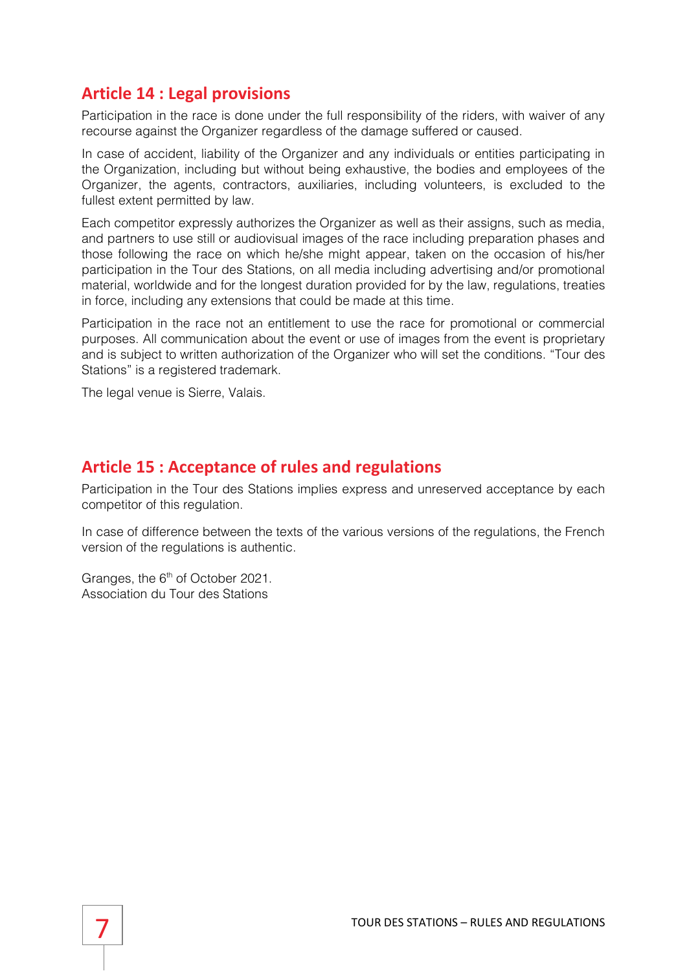## <span id="page-6-0"></span>**Article 14 : Legal provisions**

Participation in the race is done under the full responsibility of the riders, with waiver of any recourse against the Organizer regardless of the damage suffered or caused.

In case of accident, liability of the Organizer and any individuals or entities participating in the Organization, including but without being exhaustive, the bodies and employees of the Organizer, the agents, contractors, auxiliaries, including volunteers, is excluded to the fullest extent permitted by law.

Each competitor expressly authorizes the Organizer as well as their assigns, such as media, and partners to use still or audiovisual images of the race including preparation phases and those following the race on which he/she might appear, taken on the occasion of his/her participation in the Tour des Stations, on all media including advertising and/or promotional material, worldwide and for the longest duration provided for by the law, regulations, treaties in force, including any extensions that could be made at this time.

Participation in the race not an entitlement to use the race for promotional or commercial purposes. All communication about the event or use of images from the event is proprietary and is subject to written authorization of the Organizer who will set the conditions. "Tour des Stations" is a registered trademark.

The legal venue is Sierre, Valais.

#### <span id="page-6-1"></span>**Article 15 : Acceptance of rules and regulations**

Participation in the Tour des Stations implies express and unreserved acceptance by each competitor of this regulation.

In case of difference between the texts of the various versions of the regulations, the French version of the regulations is authentic.

Granges, the 6<sup>th</sup> of October 2021. Association du Tour des Stations